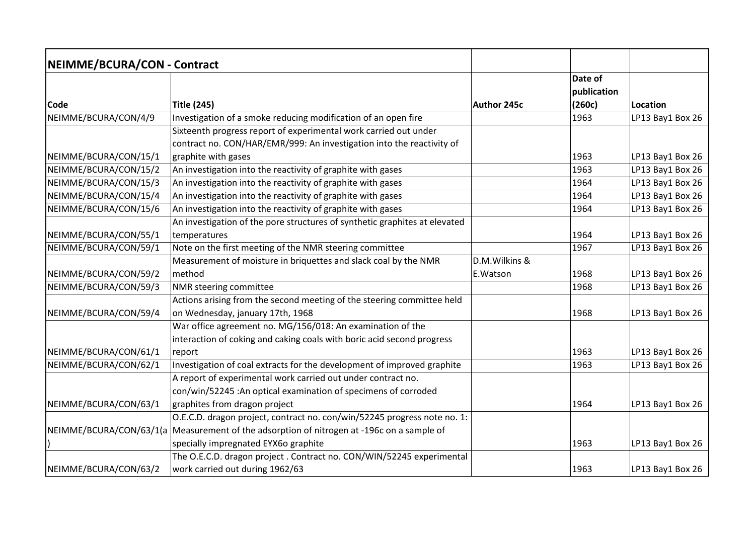| NEIMME/BCURA/CON - Contract |                                                                                           |               |             |                  |
|-----------------------------|-------------------------------------------------------------------------------------------|---------------|-------------|------------------|
|                             |                                                                                           |               | Date of     |                  |
|                             |                                                                                           |               | publication |                  |
| <b>Code</b>                 | <b>Title (245)</b>                                                                        | Author 245c   | (260c)      | Location         |
| NEIMME/BCURA/CON/4/9        | Investigation of a smoke reducing modification of an open fire                            |               | 1963        | LP13 Bay1 Box 26 |
|                             | Sixteenth progress report of experimental work carried out under                          |               |             |                  |
|                             | contract no. CON/HAR/EMR/999: An investigation into the reactivity of                     |               |             |                  |
| NEIMME/BCURA/CON/15/1       | graphite with gases                                                                       |               | 1963        | LP13 Bay1 Box 26 |
| NEIMME/BCURA/CON/15/2       | An investigation into the reactivity of graphite with gases                               |               | 1963        | LP13 Bay1 Box 26 |
| NEIMME/BCURA/CON/15/3       | An investigation into the reactivity of graphite with gases                               |               | 1964        | LP13 Bay1 Box 26 |
| NEIMME/BCURA/CON/15/4       | An investigation into the reactivity of graphite with gases                               |               | 1964        | LP13 Bay1 Box 26 |
| NEIMME/BCURA/CON/15/6       | An investigation into the reactivity of graphite with gases                               |               | 1964        | LP13 Bay1 Box 26 |
|                             | An investigation of the pore structures of synthetic graphites at elevated                |               |             |                  |
| NEIMME/BCURA/CON/55/1       | temperatures                                                                              |               | 1964        | LP13 Bay1 Box 26 |
| NEIMME/BCURA/CON/59/1       | Note on the first meeting of the NMR steering committee                                   |               | 1967        | LP13 Bay1 Box 26 |
|                             | Measurement of moisture in briquettes and slack coal by the NMR                           | D.M.Wilkins & |             |                  |
| NEIMME/BCURA/CON/59/2       | method                                                                                    | E.Watson      | 1968        | LP13 Bay1 Box 26 |
| NEIMME/BCURA/CON/59/3       | NMR steering committee                                                                    |               | 1968        | LP13 Bay1 Box 26 |
|                             | Actions arising from the second meeting of the steering committee held                    |               |             |                  |
| NEIMME/BCURA/CON/59/4       | on Wednesday, january 17th, 1968                                                          |               | 1968        | LP13 Bay1 Box 26 |
|                             | War office agreement no. MG/156/018: An examination of the                                |               |             |                  |
|                             | interaction of coking and caking coals with boric acid second progress                    |               |             |                  |
| NEIMME/BCURA/CON/61/1       | report                                                                                    |               | 1963        | LP13 Bay1 Box 26 |
| NEIMME/BCURA/CON/62/1       | Investigation of coal extracts for the development of improved graphite                   |               | 1963        | LP13 Bay1 Box 26 |
|                             | A report of experimental work carried out under contract no.                              |               |             |                  |
|                             | con/win/52245 : An optical examination of specimens of corroded                           |               |             |                  |
| NEIMME/BCURA/CON/63/1       | graphites from dragon project                                                             |               | 1964        | LP13 Bay1 Box 26 |
|                             | O.E.C.D. dragon project, contract no. con/win/52245 progress note no. 1:                  |               |             |                  |
|                             | NEIMME/BCURA/CON/63/1(a Measurement of the adsorption of nitrogen at -196c on a sample of |               |             |                  |
|                             | specially impregnated EYX60 graphite                                                      |               | 1963        | LP13 Bay1 Box 26 |
|                             | The O.E.C.D. dragon project. Contract no. CON/WIN/52245 experimental                      |               |             |                  |
| NEIMME/BCURA/CON/63/2       | work carried out during 1962/63                                                           |               | 1963        | LP13 Bay1 Box 26 |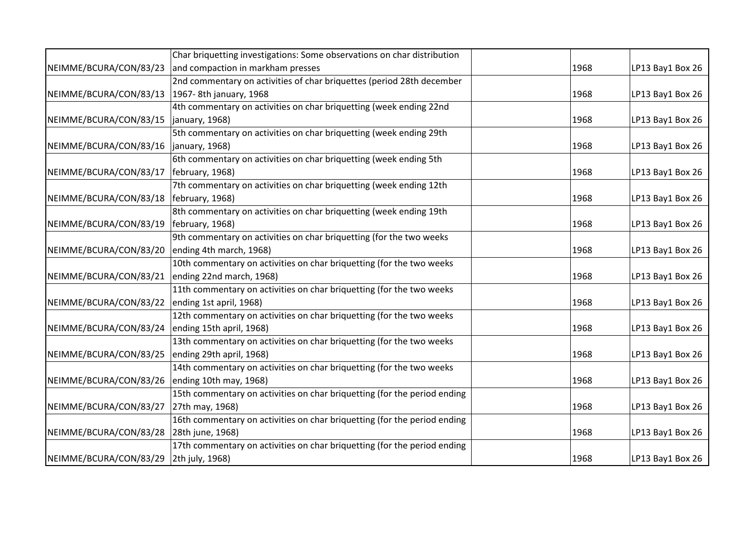|                        | Char briquetting investigations: Some observations on char distribution  |      |                  |
|------------------------|--------------------------------------------------------------------------|------|------------------|
| NEIMME/BCURA/CON/83/23 | and compaction in markham presses                                        | 1968 | LP13 Bay1 Box 26 |
|                        | 2nd commentary on activities of char briquettes (period 28th december    |      |                  |
| NEIMME/BCURA/CON/83/13 | 1967-8th january, 1968                                                   | 1968 | LP13 Bay1 Box 26 |
|                        | 4th commentary on activities on char briquetting (week ending 22nd       |      |                  |
| NEIMME/BCURA/CON/83/15 | january, 1968)                                                           | 1968 | LP13 Bay1 Box 26 |
|                        | 5th commentary on activities on char briquetting (week ending 29th       |      |                  |
| NEIMME/BCURA/CON/83/16 | january, 1968)                                                           | 1968 | LP13 Bay1 Box 26 |
|                        | 6th commentary on activities on char briquetting (week ending 5th        |      |                  |
| NEIMME/BCURA/CON/83/17 | february, 1968)                                                          | 1968 | LP13 Bay1 Box 26 |
|                        | 7th commentary on activities on char briquetting (week ending 12th       |      |                  |
| NEIMME/BCURA/CON/83/18 | february, 1968)                                                          | 1968 | LP13 Bay1 Box 26 |
|                        | 8th commentary on activities on char briquetting (week ending 19th       |      |                  |
| NEIMME/BCURA/CON/83/19 | february, 1968)                                                          | 1968 | LP13 Bay1 Box 26 |
|                        | 9th commentary on activities on char briquetting (for the two weeks      |      |                  |
| NEIMME/BCURA/CON/83/20 | ending 4th march, 1968)                                                  | 1968 | LP13 Bay1 Box 26 |
|                        | 10th commentary on activities on char briquetting (for the two weeks     |      |                  |
| NEIMME/BCURA/CON/83/21 | ending 22nd march, 1968)                                                 | 1968 | LP13 Bay1 Box 26 |
|                        | 11th commentary on activities on char briquetting (for the two weeks     |      |                  |
| NEIMME/BCURA/CON/83/22 | ending 1st april, 1968)                                                  | 1968 | LP13 Bay1 Box 26 |
|                        | 12th commentary on activities on char briquetting (for the two weeks     |      |                  |
| NEIMME/BCURA/CON/83/24 | ending 15th april, 1968)                                                 | 1968 | LP13 Bay1 Box 26 |
|                        | 13th commentary on activities on char briquetting (for the two weeks     |      |                  |
| NEIMME/BCURA/CON/83/25 | ending 29th april, 1968)                                                 | 1968 | LP13 Bay1 Box 26 |
|                        | 14th commentary on activities on char briquetting (for the two weeks     |      |                  |
| NEIMME/BCURA/CON/83/26 | ending 10th may, 1968)                                                   | 1968 | LP13 Bay1 Box 26 |
|                        | 15th commentary on activities on char briquetting (for the period ending |      |                  |
| NEIMME/BCURA/CON/83/27 | 27th may, 1968)                                                          | 1968 | LP13 Bay1 Box 26 |
|                        | 16th commentary on activities on char briquetting (for the period ending |      |                  |
| NEIMME/BCURA/CON/83/28 | 28th june, 1968)                                                         | 1968 | LP13 Bay1 Box 26 |
|                        | 17th commentary on activities on char briquetting (for the period ending |      |                  |
| NEIMME/BCURA/CON/83/29 | 2th july, 1968)                                                          | 1968 | LP13 Bay1 Box 26 |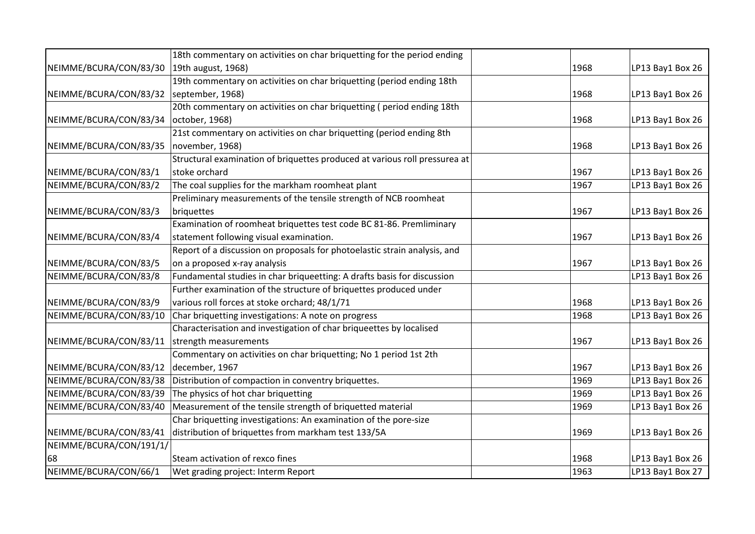|                         | 18th commentary on activities on char briquetting for the period ending    |      |                  |
|-------------------------|----------------------------------------------------------------------------|------|------------------|
| NEIMME/BCURA/CON/83/30  | 19th august, 1968)                                                         | 1968 | LP13 Bay1 Box 26 |
|                         | 19th commentary on activities on char briquetting (period ending 18th      |      |                  |
| NEIMME/BCURA/CON/83/32  | september, 1968)                                                           | 1968 | LP13 Bay1 Box 26 |
|                         | 20th commentary on activities on char briquetting (period ending 18th      |      |                  |
| NEIMME/BCURA/CON/83/34  | october, 1968)                                                             | 1968 | LP13 Bay1 Box 26 |
|                         | 21st commentary on activities on char briquetting (period ending 8th       |      |                  |
| NEIMME/BCURA/CON/83/35  | november, 1968)                                                            | 1968 | LP13 Bay1 Box 26 |
|                         | Structural examination of briquettes produced at various roll pressurea at |      |                  |
| NEIMME/BCURA/CON/83/1   | stoke orchard                                                              | 1967 | LP13 Bay1 Box 26 |
| NEIMME/BCURA/CON/83/2   | The coal supplies for the markham roomheat plant                           | 1967 | LP13 Bay1 Box 26 |
|                         | Preliminary measurements of the tensile strength of NCB roomheat           |      |                  |
| NEIMME/BCURA/CON/83/3   | briquettes                                                                 | 1967 | LP13 Bay1 Box 26 |
|                         | Examination of roomheat briquettes test code BC 81-86. Premliminary        |      |                  |
| NEIMME/BCURA/CON/83/4   | statement following visual examination.                                    | 1967 | LP13 Bay1 Box 26 |
|                         | Report of a discussion on proposals for photoelastic strain analysis, and  |      |                  |
| NEIMME/BCURA/CON/83/5   | on a proposed x-ray analysis                                               | 1967 | LP13 Bay1 Box 26 |
| NEIMME/BCURA/CON/83/8   | Fundamental studies in char briqueetting: A drafts basis for discussion    |      | LP13 Bay1 Box 26 |
|                         | Further examination of the structure of briquettes produced under          |      |                  |
| NEIMME/BCURA/CON/83/9   | various roll forces at stoke orchard; 48/1/71                              | 1968 | LP13 Bay1 Box 26 |
| NEIMME/BCURA/CON/83/10  | Char briquetting investigations: A note on progress                        | 1968 | LP13 Bay1 Box 26 |
|                         | Characterisation and investigation of char briqueettes by localised        |      |                  |
| NEIMME/BCURA/CON/83/11  | strength measurements                                                      | 1967 | LP13 Bay1 Box 26 |
|                         | Commentary on activities on char briquetting; No 1 period 1st 2th          |      |                  |
| NEIMME/BCURA/CON/83/12  | december, 1967                                                             | 1967 | LP13 Bay1 Box 26 |
| NEIMME/BCURA/CON/83/38  | Distribution of compaction in conventry briquettes.                        | 1969 | LP13 Bay1 Box 26 |
| NEIMME/BCURA/CON/83/39  | The physics of hot char briquetting                                        | 1969 | LP13 Bay1 Box 26 |
| NEIMME/BCURA/CON/83/40  | Measurement of the tensile strength of briquetted material                 | 1969 | LP13 Bay1 Box 26 |
|                         | Char briquetting investigations: An examination of the pore-size           |      |                  |
| NEIMME/BCURA/CON/83/41  | distribution of briquettes from markham test 133/5A                        | 1969 | LP13 Bay1 Box 26 |
| NEIMME/BCURA/CON/191/1/ |                                                                            |      |                  |
| 68                      | Steam activation of rexco fines                                            | 1968 | LP13 Bay1 Box 26 |
| NEIMME/BCURA/CON/66/1   | Wet grading project: Interm Report                                         | 1963 | LP13 Bay1 Box 27 |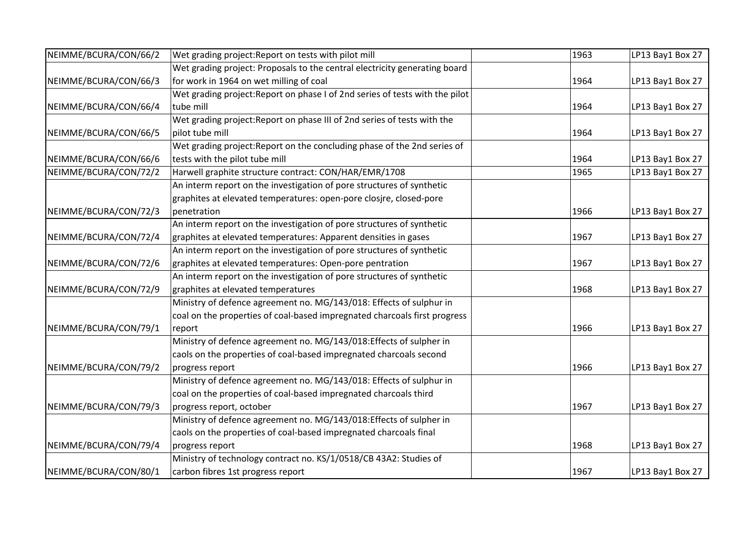| NEIMME/BCURA/CON/66/2 | Wet grading project: Report on tests with pilot mill                         | 1963 | LP13 Bay1 Box 27 |
|-----------------------|------------------------------------------------------------------------------|------|------------------|
|                       | Wet grading project: Proposals to the central electricity generating board   |      |                  |
| NEIMME/BCURA/CON/66/3 | for work in 1964 on wet milling of coal                                      | 1964 | LP13 Bay1 Box 27 |
|                       | Wet grading project: Report on phase I of 2nd series of tests with the pilot |      |                  |
| NEIMME/BCURA/CON/66/4 | tube mill                                                                    | 1964 | LP13 Bay1 Box 27 |
|                       | Wet grading project: Report on phase III of 2nd series of tests with the     |      |                  |
| NEIMME/BCURA/CON/66/5 | pilot tube mill                                                              | 1964 | LP13 Bay1 Box 27 |
|                       | Wet grading project: Report on the concluding phase of the 2nd series of     |      |                  |
| NEIMME/BCURA/CON/66/6 | tests with the pilot tube mill                                               | 1964 | LP13 Bay1 Box 27 |
| NEIMME/BCURA/CON/72/2 | Harwell graphite structure contract: CON/HAR/EMR/1708                        | 1965 | LP13 Bay1 Box 27 |
|                       | An interm report on the investigation of pore structures of synthetic        |      |                  |
|                       | graphites at elevated temperatures: open-pore closjre, closed-pore           |      |                  |
| NEIMME/BCURA/CON/72/3 | penetration                                                                  | 1966 | LP13 Bay1 Box 27 |
|                       | An interm report on the investigation of pore structures of synthetic        |      |                  |
| NEIMME/BCURA/CON/72/4 | graphites at elevated temperatures: Apparent densities in gases              | 1967 | LP13 Bay1 Box 27 |
|                       | An interm report on the investigation of pore structures of synthetic        |      |                  |
| NEIMME/BCURA/CON/72/6 | graphites at elevated temperatures: Open-pore pentration                     | 1967 | LP13 Bay1 Box 27 |
|                       | An interm report on the investigation of pore structures of synthetic        |      |                  |
| NEIMME/BCURA/CON/72/9 | graphites at elevated temperatures                                           | 1968 | LP13 Bay1 Box 27 |
|                       | Ministry of defence agreement no. MG/143/018: Effects of sulphur in          |      |                  |
|                       | coal on the properties of coal-based impregnated charcoals first progress    |      |                  |
| NEIMME/BCURA/CON/79/1 | report                                                                       | 1966 | LP13 Bay1 Box 27 |
|                       | Ministry of defence agreement no. MG/143/018: Effects of sulpher in          |      |                  |
|                       | caols on the properties of coal-based impregnated charcoals second           |      |                  |
| NEIMME/BCURA/CON/79/2 | progress report                                                              | 1966 | LP13 Bay1 Box 27 |
|                       | Ministry of defence agreement no. MG/143/018: Effects of sulphur in          |      |                  |
|                       | coal on the properties of coal-based impregnated charcoals third             |      |                  |
| NEIMME/BCURA/CON/79/3 | progress report, october                                                     | 1967 | LP13 Bay1 Box 27 |
|                       | Ministry of defence agreement no. MG/143/018:Effects of sulpher in           |      |                  |
|                       | caols on the properties of coal-based impregnated charcoals final            |      |                  |
| NEIMME/BCURA/CON/79/4 | progress report                                                              | 1968 | LP13 Bay1 Box 27 |
|                       | Ministry of technology contract no. KS/1/0518/CB 43A2: Studies of            |      |                  |
| NEIMME/BCURA/CON/80/1 | carbon fibres 1st progress report                                            | 1967 | LP13 Bay1 Box 27 |